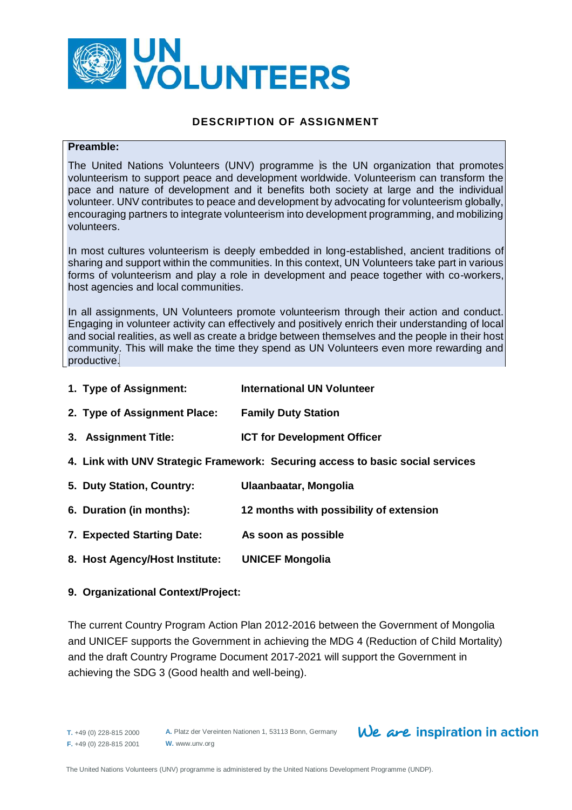

## **DESCRIPTION OF ASSIGNMENT**

#### **Preamble:**

The United Nations Volunteers (UNV) programme is the UN organization that promotes volunteerism to support peace and development worldwide. Volunteerism can transform the pace and nature of development and it benefits both society at large and the individual volunteer. UNV contributes to peace and development by advocating for volunteerism globally, encouraging partners to integrate volunteerism into development programming, and mobilizing volunteers.

In most cultures volunteerism is deeply embedded in long-established, ancient traditions of sharing and support within the communities. In this context, UN Volunteers take part in various forms of volunteerism and play a role in development and peace together with co-workers, host agencies and local communities.

In all assignments, UN Volunteers promote volunteerism through their action and conduct. Engaging in volunteer activity can effectively and positively enrich their understanding of local and social realities, as well as create a bridge between themselves and the people in their host community. This will make the time they spend as UN Volunteers even more rewarding and productive.

- **1. Type of Assignment: International UN Volunteer**
- **2. Type of Assignment Place: Family Duty Station**
- **3. Assignment Title: ICT for Development Officer**
- **4. Link with UNV Strategic Framework: Securing access to basic social services**
- **5. Duty Station, Country: Ulaanbaatar, Mongolia**
- **6. Duration (in months): 12 months with possibility of extension**
- **7. Expected Starting Date: As soon as possible**
- **8. Host Agency/Host Institute: UNICEF Mongolia**

#### **9. Organizational Context/Project:**

The current Country Program Action Plan 2012-2016 between the Government of Mongolia and UNICEF supports the Government in achieving the MDG 4 (Reduction of Child Mortality) and the draft Country Programe Document 2017-2021 will support the Government in achieving the SDG 3 (Good health and well-being).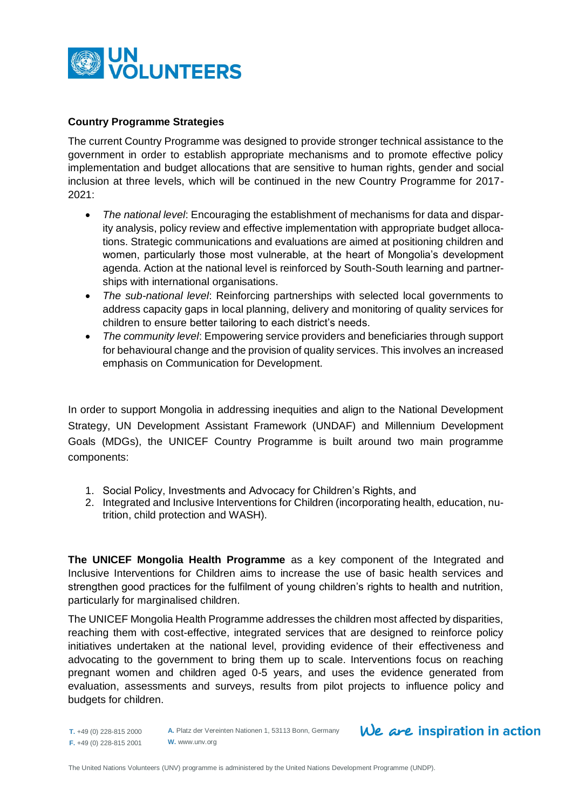

## **Country Programme Strategies**

The current Country Programme was designed to provide stronger technical assistance to the government in order to establish appropriate mechanisms and to promote effective policy implementation and budget allocations that are sensitive to human rights, gender and social inclusion at three levels, which will be continued in the new Country Programme for 2017- 2021:

- *The national level*: Encouraging the establishment of mechanisms for data and disparity analysis, policy review and effective implementation with appropriate budget allocations. Strategic communications and evaluations are aimed at positioning children and women, particularly those most vulnerable, at the heart of Mongolia's development agenda. Action at the national level is reinforced by South-South learning and partnerships with international organisations.
- *The sub-national level*: Reinforcing partnerships with selected local governments to address capacity gaps in local planning, delivery and monitoring of quality services for children to ensure better tailoring to each district's needs.
- *The community level*: Empowering service providers and beneficiaries through support for behavioural change and the provision of quality services. This involves an increased emphasis on Communication for Development.

In order to support Mongolia in addressing inequities and align to the National Development Strategy, UN Development Assistant Framework (UNDAF) and Millennium Development Goals (MDGs), the UNICEF Country Programme is built around two main programme components:

- 1. Social Policy, Investments and Advocacy for Children's Rights, and
- 2. Integrated and Inclusive Interventions for Children (incorporating health, education, nutrition, child protection and WASH).

**The UNICEF Mongolia Health Programme** as a key component of the Integrated and Inclusive Interventions for Children aims to increase the use of basic health services and strengthen good practices for the fulfilment of young children's rights to health and nutrition, particularly for marginalised children.

The UNICEF Mongolia Health Programme addresses the children most affected by disparities, reaching them with cost-effective, integrated services that are designed to reinforce policy initiatives undertaken at the national level, providing evidence of their effectiveness and advocating to the government to bring them up to scale. Interventions focus on reaching pregnant women and children aged 0-5 years, and uses the evidence generated from evaluation, assessments and surveys, results from pilot projects to influence policy and budgets for children.

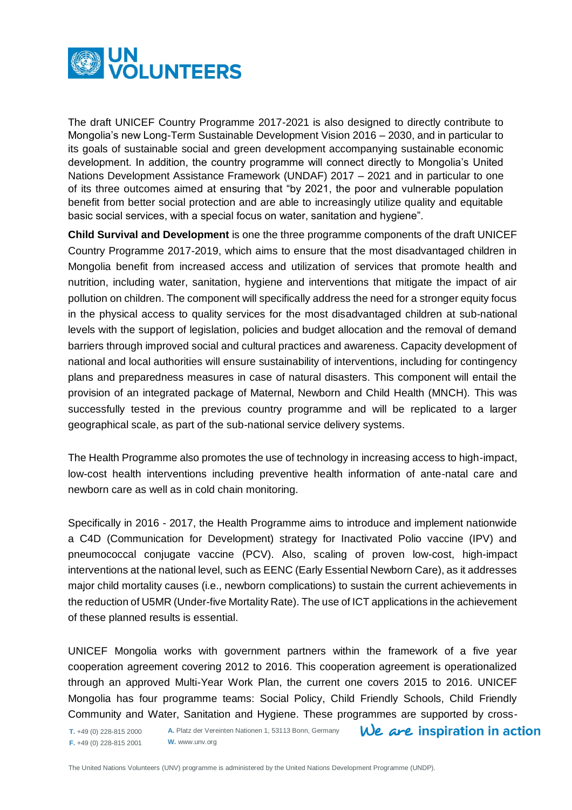

The draft UNICEF Country Programme 2017-2021 is also designed to directly contribute to Mongolia's new Long-Term Sustainable Development Vision 2016 – 2030, and in particular to its goals of sustainable social and green development accompanying sustainable economic development. In addition, the country programme will connect directly to Mongolia's United Nations Development Assistance Framework (UNDAF) 2017 – 2021 and in particular to one of its three outcomes aimed at ensuring that "by 2021, the poor and vulnerable population benefit from better social protection and are able to increasingly utilize quality and equitable basic social services, with a special focus on water, sanitation and hygiene".

**Child Survival and Development** is one the three programme components of the draft UNICEF Country Programme 2017-2019, which aims to ensure that the most disadvantaged children in Mongolia benefit from increased access and utilization of services that promote health and nutrition, including water, sanitation, hygiene and interventions that mitigate the impact of air pollution on children. The component will specifically address the need for a stronger equity focus in the physical access to quality services for the most disadvantaged children at sub-national levels with the support of legislation, policies and budget allocation and the removal of demand barriers through improved social and cultural practices and awareness. Capacity development of national and local authorities will ensure sustainability of interventions, including for contingency plans and preparedness measures in case of natural disasters. This component will entail the provision of an integrated package of Maternal, Newborn and Child Health (MNCH). This was successfully tested in the previous country programme and will be replicated to a larger geographical scale, as part of the sub-national service delivery systems.

The Health Programme also promotes the use of technology in increasing access to high-impact, low-cost health interventions including preventive health information of ante-natal care and newborn care as well as in cold chain monitoring.

Specifically in 2016 - 2017, the Health Programme aims to introduce and implement nationwide a C4D (Communication for Development) strategy for Inactivated Polio vaccine (IPV) and pneumococcal conjugate vaccine (PCV). Also, scaling of proven low-cost, high-impact interventions at the national level, such as EENC (Early Essential Newborn Care), as it addresses major child mortality causes (i.e., newborn complications) to sustain the current achievements in the reduction of U5MR (Under-five Mortality Rate). The use of ICT applications in the achievement of these planned results is essential.

UNICEF Mongolia works with government partners within the framework of a five year cooperation agreement covering 2012 to 2016. This cooperation agreement is operationalized through an approved Multi-Year Work Plan, the current one covers 2015 to 2016. UNICEF Mongolia has four programme teams: Social Policy, Child Friendly Schools, Child Friendly Community and Water, Sanitation and Hygiene. These programmes are supported by cross-

**A.** Platz der Vereinten Nationen 1, 53113 Bonn, Germany  $We$  are inspiration in action **T.** +49 (0) 228-815 2000 **F.** +49 (0) 228-815 2001 **W.** www.unv.org

The United Nations Volunteers (UNV) programme is administered by the United Nations Development Programme (UNDP).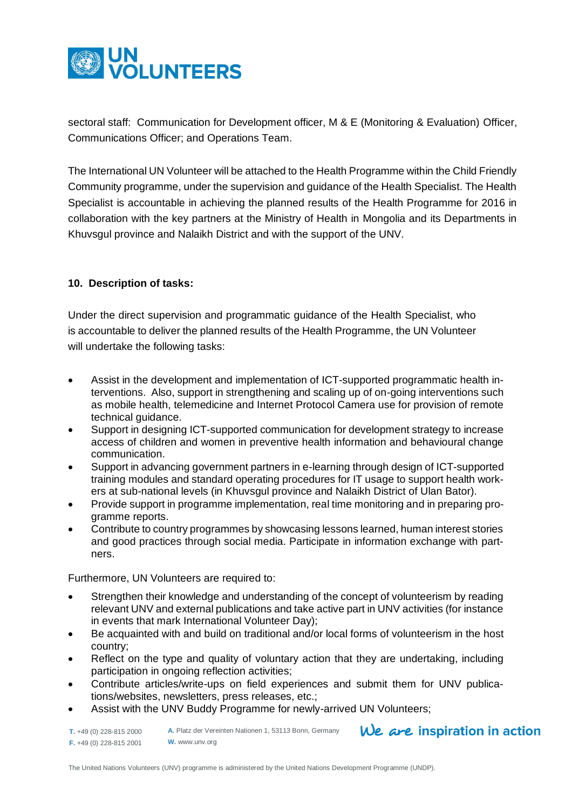

sectoral staff: Communication for Development officer, M & E (Monitoring & Evaluation) Officer, Communications Officer; and Operations Team.

The International UN Volunteer will be attached to the Health Programme within the Child Friendly Community programme, under the supervision and guidance of the Health Specialist. The Health Specialist is accountable in achieving the planned results of the Health Programme for 2016 in collaboration with the key partners at the Ministry of Health in Mongolia and its Departments in Khuvsgul province and Nalaikh District and with the support of the UNV.

## **10. Description of tasks:**

Under the direct supervision and programmatic guidance of the Health Specialist, who is accountable to deliver the planned results of the Health Programme, the UN Volunteer will undertake the following tasks:

- Assist in the development and implementation of ICT-supported programmatic health interventions. Also, support in strengthening and scaling up of on-going interventions such as mobile health, telemedicine and Internet Protocol Camera use for provision of remote technical guidance.
- Support in designing ICT-supported communication for development strategy to increase access of children and women in preventive health information and behavioural change communication.
- Support in advancing government partners in e-learning through design of ICT-supported training modules and standard operating procedures for IT usage to support health workers at sub-national levels (in Khuvsgul province and Nalaikh District of Ulan Bator).
- Provide support in programme implementation, real time monitoring and in preparing programme reports.
- Contribute to country programmes by showcasing lessons learned, human interest stories and good practices through social media. Participate in information exchange with partners.

Furthermore, UN Volunteers are required to:

- Strengthen their knowledge and understanding of the concept of volunteerism by reading relevant UNV and external publications and take active part in UNV activities (for instance in events that mark International Volunteer Day);
- Be acquainted with and build on traditional and/or local forms of volunteerism in the host country;
- Reflect on the type and quality of voluntary action that they are undertaking, including participation in ongoing reflection activities;
- Contribute articles/write-ups on field experiences and submit them for UNV publications/websites, newsletters, press releases, etc.;
- Assist with the UNV Buddy Programme for newly-arrived UN Volunteers;

 $We$  are inspiration in action **A.** Platz der Vereinten Nationen 1, 53113 Bonn, Germany **T.** +49 (0) 228-815 2000 **F.** +49 (0) 228-815 2001 **W.** www.unv.org

The United Nations Volunteers (UNV) programme is administered by the United Nations Development Programme (UNDP).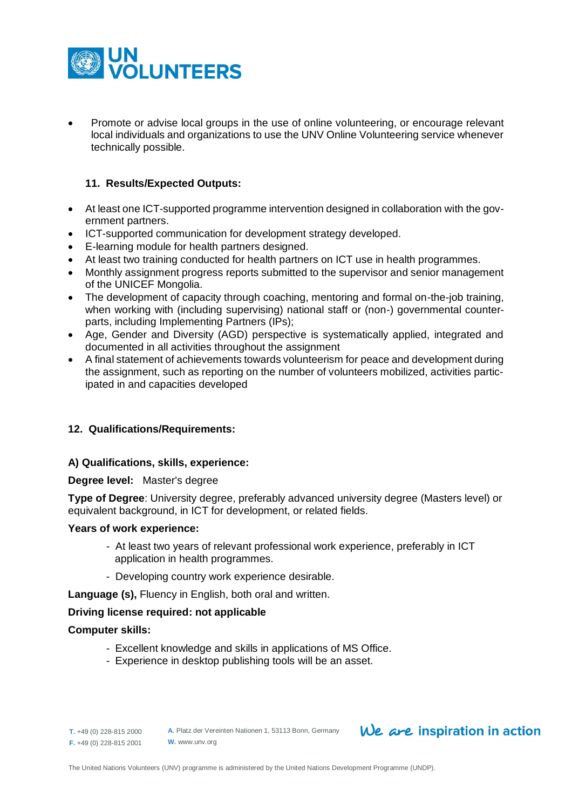

 Promote or advise local groups in the use of online volunteering, or encourage relevant local individuals and organizations to use the UNV Online Volunteering service whenever technically possible.

## **11. Results/Expected Outputs:**

- At least one ICT-supported programme intervention designed in collaboration with the government partners.
- ICT-supported communication for development strategy developed.
- E-learning module for health partners designed.
- At least two training conducted for health partners on ICT use in health programmes.
- Monthly assignment progress reports submitted to the supervisor and senior management of the UNICEF Mongolia.
- The development of capacity through coaching, mentoring and formal on-the-job training. when working with (including supervising) national staff or (non-) governmental counterparts, including Implementing Partners (IPs);
- Age, Gender and Diversity (AGD) perspective is systematically applied, integrated and documented in all activities throughout the assignment
- A final statement of achievements towards volunteerism for peace and development during the assignment, such as reporting on the number of volunteers mobilized, activities participated in and capacities developed

## **12. Qualifications/Requirements:**

## **A) Qualifications, skills, experience:**

#### **Degree level:** Master's degree

**Type of Degree**: University degree, preferably advanced university degree (Masters level) or equivalent background, in ICT for development, or related fields.

#### **Years of work experience:**

- At least two years of relevant professional work experience, preferably in ICT application in health programmes.
- Developing country work experience desirable.

**Language (s),** Fluency in English, both oral and written.

## **Driving license required: not applicable**

## **Computer skills:**

- Excellent knowledge and skills in applications of MS Office.
- Experience in desktop publishing tools will be an asset.

**T.** +49 (0) 228-815 2000 **F.** +49 (0) 228-815 2001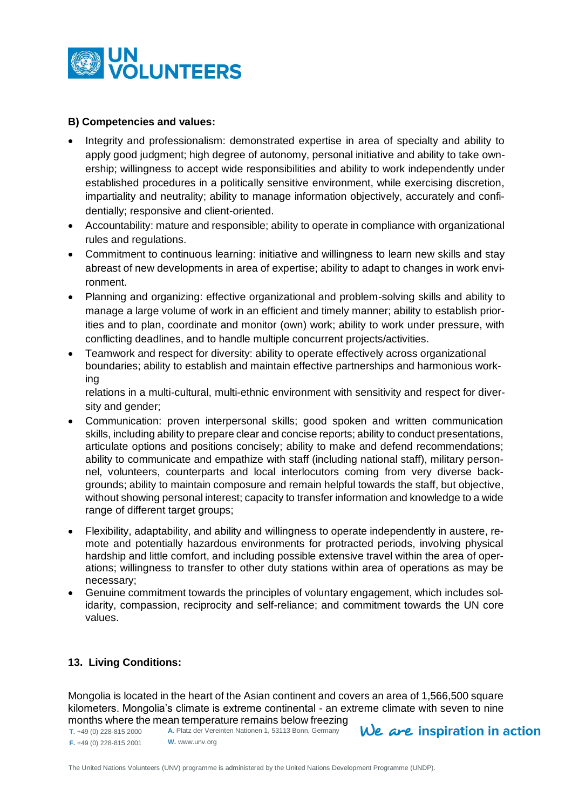

## **B) Competencies and values:**

- Integrity and professionalism: demonstrated expertise in area of specialty and ability to apply good judgment; high degree of autonomy, personal initiative and ability to take ownership; willingness to accept wide responsibilities and ability to work independently under established procedures in a politically sensitive environment, while exercising discretion, impartiality and neutrality; ability to manage information objectively, accurately and confidentially; responsive and client-oriented.
- Accountability: mature and responsible; ability to operate in compliance with organizational rules and regulations.
- Commitment to continuous learning: initiative and willingness to learn new skills and stay abreast of new developments in area of expertise; ability to adapt to changes in work environment.
- Planning and organizing: effective organizational and problem-solving skills and ability to manage a large volume of work in an efficient and timely manner; ability to establish priorities and to plan, coordinate and monitor (own) work; ability to work under pressure, with conflicting deadlines, and to handle multiple concurrent projects/activities.
- Teamwork and respect for diversity: ability to operate effectively across organizational boundaries; ability to establish and maintain effective partnerships and harmonious working

relations in a multi-cultural, multi-ethnic environment with sensitivity and respect for diversity and gender:

- Communication: proven interpersonal skills; good spoken and written communication skills, including ability to prepare clear and concise reports; ability to conduct presentations, articulate options and positions concisely; ability to make and defend recommendations; ability to communicate and empathize with staff (including national staff), military personnel, volunteers, counterparts and local interlocutors coming from very diverse backgrounds; ability to maintain composure and remain helpful towards the staff, but objective, without showing personal interest; capacity to transfer information and knowledge to a wide range of different target groups;
- Flexibility, adaptability, and ability and willingness to operate independently in austere, remote and potentially hazardous environments for protracted periods, involving physical hardship and little comfort, and including possible extensive travel within the area of operations; willingness to transfer to other duty stations within area of operations as may be necessary;
- Genuine commitment towards the principles of voluntary engagement, which includes solidarity, compassion, reciprocity and self-reliance; and commitment towards the UN core values.

## **13. Living Conditions:**

Mongolia is located in the heart of the Asian continent and covers an area of 1,566,500 square kilometers. Mongolia's climate is extreme continental - an extreme climate with seven to nine months where the mean temperature remains below freezing

**T.** +49 (0) 228-815 2000 **F.** +49 (0) 228-815 2001 **A.** Platz der Vereinten Nationen 1, 53113 Bonn, Germany **W.** www.unv.org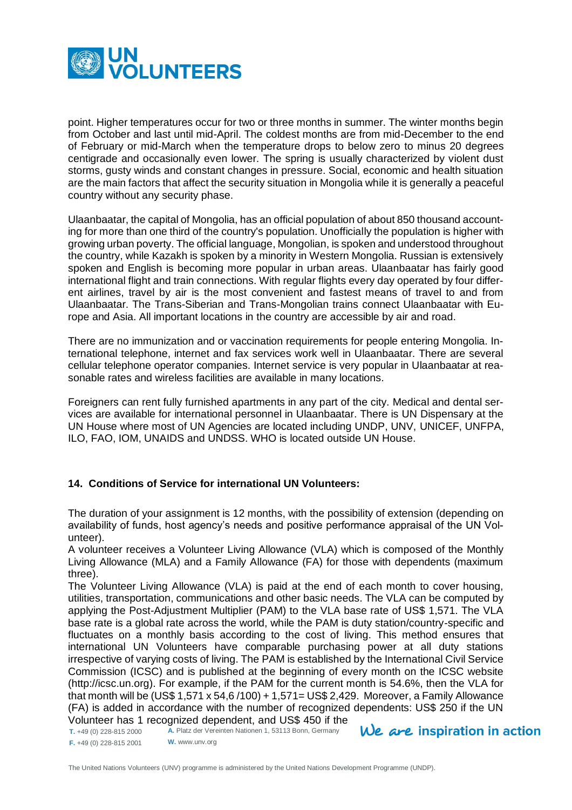

point. Higher temperatures occur for two or three months in summer. The winter months begin from October and last until mid-April. The coldest months are from mid-December to the end of February or mid-March when the temperature drops to below zero to minus 20 degrees centigrade and occasionally even lower. The spring is usually characterized by violent dust storms, gusty winds and constant changes in pressure. Social, economic and health situation are the main factors that affect the security situation in Mongolia while it is generally a peaceful country without any security phase.

Ulaanbaatar, the capital of Mongolia, has an official population of about 850 thousand accounting for more than one third of the country's population. Unofficially the population is higher with growing urban poverty. The official language, Mongolian, is spoken and understood throughout the country, while Kazakh is spoken by a minority in Western Mongolia. Russian is extensively spoken and English is becoming more popular in urban areas. Ulaanbaatar has fairly good international flight and train connections. With regular flights every day operated by four different airlines, travel by air is the most convenient and fastest means of travel to and from Ulaanbaatar. The Trans-Siberian and Trans-Mongolian trains connect Ulaanbaatar with Europe and Asia. All important locations in the country are accessible by air and road.

There are no immunization and or vaccination requirements for people entering Mongolia. International telephone, internet and fax services work well in Ulaanbaatar. There are several cellular telephone operator companies. Internet service is very popular in Ulaanbaatar at reasonable rates and wireless facilities are available in many locations.

Foreigners can rent fully furnished apartments in any part of the city. Medical and dental services are available for international personnel in Ulaanbaatar. There is UN Dispensary at the UN House where most of UN Agencies are located including UNDP, UNV, UNICEF, UNFPA, ILO, FAO, IOM, UNAIDS and UNDSS. WHO is located outside UN House.

## **14. Conditions of Service for international UN Volunteers:**

The duration of your assignment is 12 months, with the possibility of extension (depending on availability of funds, host agency's needs and positive performance appraisal of the UN Volunteer).

A volunteer receives a Volunteer Living Allowance (VLA) which is composed of the Monthly Living Allowance (MLA) and a Family Allowance (FA) for those with dependents (maximum three).

The Volunteer Living Allowance (VLA) is paid at the end of each month to cover housing, utilities, transportation, communications and other basic needs. The VLA can be computed by applying the Post-Adjustment Multiplier (PAM) to the VLA base rate of US\$ 1,571. The VLA base rate is a global rate across the world, while the PAM is duty station/country-specific and fluctuates on a monthly basis according to the cost of living. This method ensures that international UN Volunteers have comparable purchasing power at all duty stations irrespective of varying costs of living. The PAM is established by the International Civil Service Commission (ICSC) and is published at the beginning of every month on the ICSC website [\(http://icsc.un.org\)](http://icsc.un.org/). For example, if the PAM for the current month is 54.6%, then the VLA for that month will be (US\$ 1,571 x 54,6 /100) + 1,571= US\$ 2,429. Moreover, a Family Allowance (FA) is added in accordance with the number of recognized dependents: US\$ 250 if the UN Volunteer has 1 recognized dependent, and US\$ 450 if the

**T.** +49 (0) 228-815 2000 **F.** +49 (0) 228-815 2001 **A.** Platz der Vereinten Nationen 1, 53113 Bonn, Germany **W.** www.unv.org